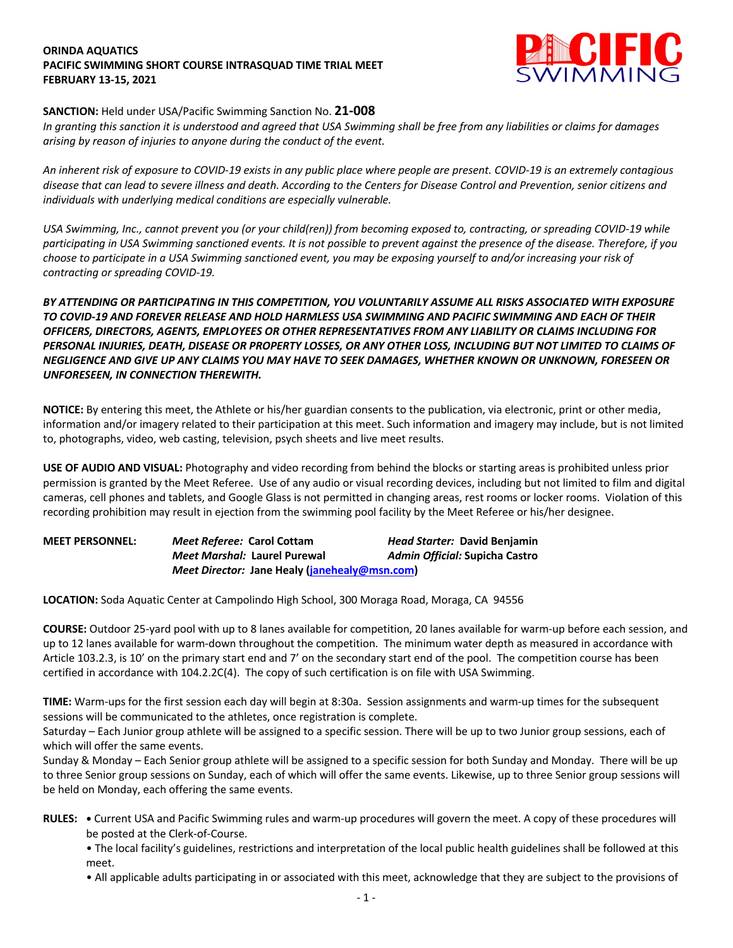## **ORINDA AQUATICS PACIFIC SWIMMING SHORT COURSE INTRASQUAD TIME TRIAL MEET FEBRUARY 13-15, 2021**



## **SANCTION:** Held under USA/Pacific Swimming Sanction No. **21-008**

*In granting this sanction it is understood and agreed that USA Swimming shall be free from any liabilities or claims for damages arising by reason of injuries to anyone during the conduct of the event.* 

*An inherent risk of exposure to COVID-19 exists in any public place where people are present. COVID-19 is an extremely contagious disease that can lead to severe illness and death. According to the Centers for Disease Control and Prevention, senior citizens and individuals with underlying medical conditions are especially vulnerable.*

*USA Swimming, Inc., cannot prevent you (or your child(ren)) from becoming exposed to, contracting, or spreading COVID-19 while participating in USA Swimming sanctioned events. It is not possible to prevent against the presence of the disease. Therefore, if you choose to participate in a USA Swimming sanctioned event, you may be exposing yourself to and/or increasing your risk of contracting or spreading COVID-19.*

*BY ATTENDING OR PARTICIPATING IN THIS COMPETITION, YOU VOLUNTARILY ASSUME ALL RISKS ASSOCIATED WITH EXPOSURE TO COVID-19 AND FOREVER RELEASE AND HOLD HARMLESS USA SWIMMING AND PACIFIC SWIMMING AND EACH OF THEIR OFFICERS, DIRECTORS, AGENTS, EMPLOYEES OR OTHER REPRESENTATIVES FROM ANY LIABILITY OR CLAIMS INCLUDING FOR PERSONAL INJURIES, DEATH, DISEASE OR PROPERTY LOSSES, OR ANY OTHER LOSS, INCLUDING BUT NOT LIMITED TO CLAIMS OF NEGLIGENCE AND GIVE UP ANY CLAIMS YOU MAY HAVE TO SEEK DAMAGES, WHETHER KNOWN OR UNKNOWN, FORESEEN OR UNFORESEEN, IN CONNECTION THEREWITH.*

**NOTICE:** By entering this meet, the Athlete or his/her guardian consents to the publication, via electronic, print or other media, information and/or imagery related to their participation at this meet. Such information and imagery may include, but is not limited to, photographs, video, web casting, television, psych sheets and live meet results.

**USE OF AUDIO AND VISUAL:** Photography and video recording from behind the blocks or starting areas is prohibited unless prior permission is granted by the Meet Referee. Use of any audio or visual recording devices, including but not limited to film and digital cameras, cell phones and tablets, and Google Glass is not permitted in changing areas, rest rooms or locker rooms. Violation of this recording prohibition may result in ejection from the swimming pool facility by the Meet Referee or his/her designee.

| <b>MEET PERSONNEL:</b> | Meet Referee: Carol Cottam                    | Head Starter: David Benjamin   |
|------------------------|-----------------------------------------------|--------------------------------|
|                        | Meet Marshal: Laurel Purewal                  | Admin Official: Supicha Castro |
|                        | Meet Director: Jane Healy (janehealy@msn.com) |                                |

**LOCATION:** Soda Aquatic Center at Campolindo High School, 300 Moraga Road, Moraga, CA 94556

**COURSE:** Outdoor 25-yard pool with up to 8 lanes available for competition, 20 lanes available for warm-up before each session, and up to 12 lanes available for warm-down throughout the competition. The minimum water depth as measured in accordance with Article 103.2.3, is 10' on the primary start end and 7' on the secondary start end of the pool. The competition course has been certified in accordance with 104.2.2C(4). The copy of such certification is on file with USA Swimming.

**TIME:** Warm-ups for the first session each day will begin at 8:30a. Session assignments and warm-up times for the subsequent sessions will be communicated to the athletes, once registration is complete.

Saturday – Each Junior group athlete will be assigned to a specific session. There will be up to two Junior group sessions, each of which will offer the same events.

Sunday & Monday – Each Senior group athlete will be assigned to a specific session for both Sunday and Monday. There will be up to three Senior group sessions on Sunday, each of which will offer the same events. Likewise, up to three Senior group sessions will be held on Monday, each offering the same events.

- **RULES: •** Current USA and Pacific Swimming rules and warm-up procedures will govern the meet. A copy of these procedures will be posted at the Clerk-of-Course.
	- The local facility's guidelines, restrictions and interpretation of the local public health guidelines shall be followed at this meet.
	- All applicable adults participating in or associated with this meet, acknowledge that they are subject to the provisions of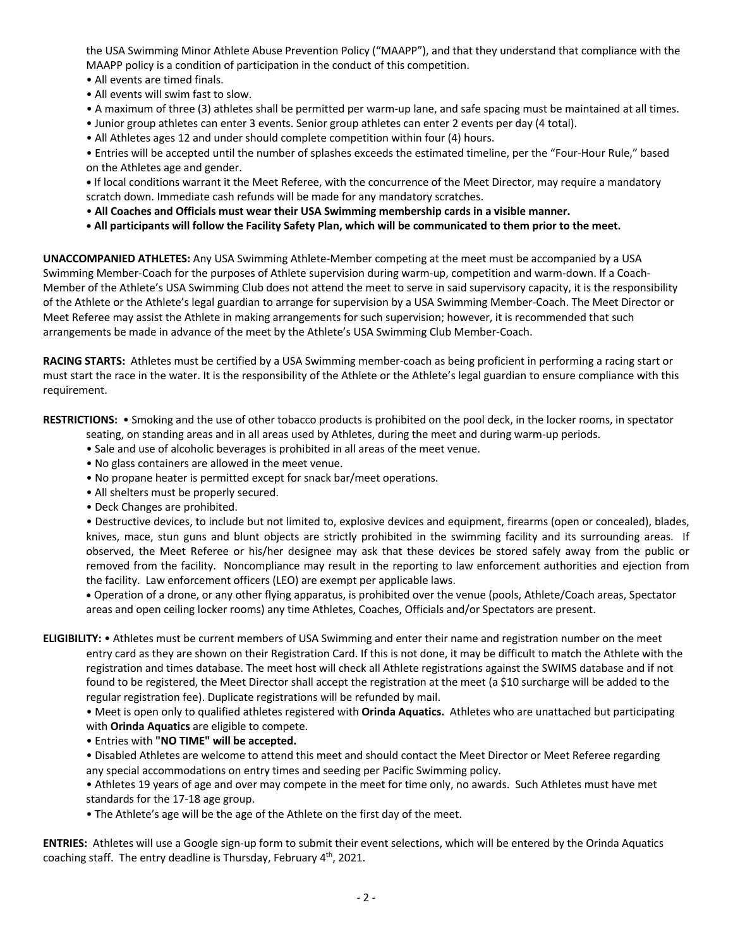the USA Swimming Minor Athlete Abuse Prevention Policy ("MAAPP"), and that they understand that compliance with the MAAPP policy is a condition of participation in the conduct of this competition.

- All events are timed finals.
- All events will swim fast to slow.
- A maximum of three (3) athletes shall be permitted per warm-up lane, and safe spacing must be maintained at all times.
- Junior group athletes can enter 3 events. Senior group athletes can enter 2 events per day (4 total).
- All Athletes ages 12 and under should complete competition within four (4) hours.

• Entries will be accepted until the number of splashes exceeds the estimated timeline, per the "Four-Hour Rule," based on the Athletes age and gender.

**•** If local conditions warrant it the Meet Referee, with the concurrence of the Meet Director, may require a mandatory scratch down. Immediate cash refunds will be made for any mandatory scratches.

- **All Coaches and Officials must wear their USA Swimming membership cards in a visible manner.**
- **• All participants will follow the Facility Safety Plan, which will be communicated to them prior to the meet.**

**UNACCOMPANIED ATHLETES:** Any USA Swimming Athlete-Member competing at the meet must be accompanied by a USA Swimming Member-Coach for the purposes of Athlete supervision during warm-up, competition and warm-down. If a Coach-Member of the Athlete's USA Swimming Club does not attend the meet to serve in said supervisory capacity, it is the responsibility of the Athlete or the Athlete's legal guardian to arrange for supervision by a USA Swimming Member-Coach. The Meet Director or Meet Referee may assist the Athlete in making arrangements for such supervision; however, it is recommended that such arrangements be made in advance of the meet by the Athlete's USA Swimming Club Member-Coach.

**RACING STARTS:** Athletes must be certified by a USA Swimming member-coach as being proficient in performing a racing start or must start the race in the water. It is the responsibility of the Athlete or the Athlete's legal guardian to ensure compliance with this requirement.

**RESTRICTIONS:** • Smoking and the use of other tobacco products is prohibited on the pool deck, in the locker rooms, in spectator

- seating, on standing areas and in all areas used by Athletes, during the meet and during warm-up periods.
- Sale and use of alcoholic beverages is prohibited in all areas of the meet venue.
- No glass containers are allowed in the meet venue.
- No propane heater is permitted except for snack bar/meet operations.
- All shelters must be properly secured.
- Deck Changes are prohibited.

• Destructive devices, to include but not limited to, explosive devices and equipment, firearms (open or concealed), blades, knives, mace, stun guns and blunt objects are strictly prohibited in the swimming facility and its surrounding areas. If observed, the Meet Referee or his/her designee may ask that these devices be stored safely away from the public or removed from the facility. Noncompliance may result in the reporting to law enforcement authorities and ejection from the facility. Law enforcement officers (LEO) are exempt per applicable laws.

• Operation of a drone, or any other flying apparatus, is prohibited over the venue (pools, Athlete/Coach areas, Spectator areas and open ceiling locker rooms) any time Athletes, Coaches, Officials and/or Spectators are present.

**ELIGIBILITY:** • Athletes must be current members of USA Swimming and enter their name and registration number on the meet entry card as they are shown on their Registration Card. If this is not done, it may be difficult to match the Athlete with the registration and times database. The meet host will check all Athlete registrations against the SWIMS database and if not found to be registered, the Meet Director shall accept the registration at the meet (a \$10 surcharge will be added to the regular registration fee). Duplicate registrations will be refunded by mail.

• Meet is open only to qualified athletes registered with **Orinda Aquatics.** Athletes who are unattached but participating with **Orinda Aquatics** are eligible to compete.

- Entries with **"NO TIME" will be accepted.**
- Disabled Athletes are welcome to attend this meet and should contact the Meet Director or Meet Referee regarding any special accommodations on entry times and seeding per Pacific Swimming policy.

• Athletes 19 years of age and over may compete in the meet for time only, no awards. Such Athletes must have met standards for the 17-18 age group.

• The Athlete's age will be the age of the Athlete on the first day of the meet.

**ENTRIES:** Athletes will use a Google sign-up form to submit their event selections, which will be entered by the Orinda Aquatics coaching staff. The entry deadline is Thursday, February 4<sup>th</sup>, 2021.